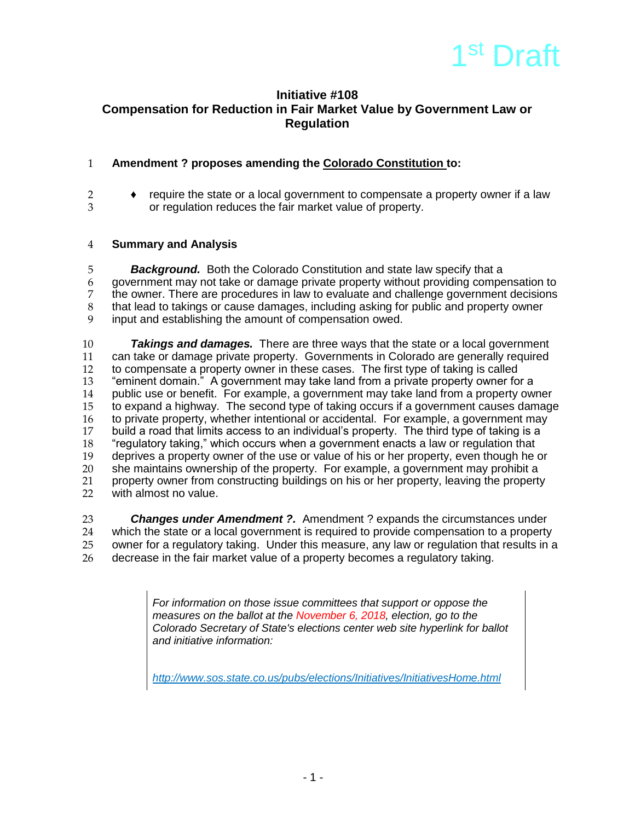

# **Initiative #108 Compensation for Reduction in Fair Market Value by Government Law or Regulation**

## 1 **Amendment ? proposes amending the Colorado Constitution to:**

2 ♦ require the state or a local government to compensate a property owner if a law 3 or regulation reduces the fair market value of property.

### 4 **Summary and Analysis**

5 *Background.* Both the Colorado Constitution and state law specify that a 6 government may not take or damage private property without providing compensation to 7 the owner. There are procedures in law to evaluate and challenge government decisions<br>8 that lead to takings or cause damages, including asking for public and property owner 8 that lead to takings or cause damages, including asking for public and property owner<br>9 input and establishing the amount of compensation owed. input and establishing the amount of compensation owed.

 *Takings and damages.* There are three ways that the state or a local government can take or damage private property. Governments in Colorado are generally required to compensate a property owner in these cases. The first type of taking is called "eminent domain." A government may take land from a private property owner for a public use or benefit. For example, a government may take land from a property owner to expand a highway. The second type of taking occurs if a government causes damage to private property, whether intentional or accidental. For example, a government may 17 build a road that limits access to an individual's property. The third type of taking is a<br>18 frequiatory taking," which occurs when a government enacts a law or requiation that The "regulatory taking," which occurs when a government enacts a law or regulation that<br>19 deprives a property owner of the use or value of his or her property, even though he 19 deprives a property owner of the use or value of his or her property, even though he or<br>20 she maintains ownership of the property. For example, a government may prohibit a 20 she maintains ownership of the property. For example, a government may prohibit a<br>21 property owner from constructing buildings on his or her property, leaving the property property owner from constructing buildings on his or her property, leaving the property with almost no value.

 *Changes under Amendment ?.* Amendment ? expands the circumstances under which the state or a local government is required to provide compensation to a property owner for a regulatory taking. Under this measure, any law or regulation that results in a decrease in the fair market value of a property becomes a regulatory taking.

> *For information on those issue committees that support or oppose the measures on the ballot at the November 6, 2018, election, go to the Colorado Secretary of State's elections center web site hyperlink for ballot and initiative information:*

*<http://www.sos.state.co.us/pubs/elections/Initiatives/InitiativesHome.html>*